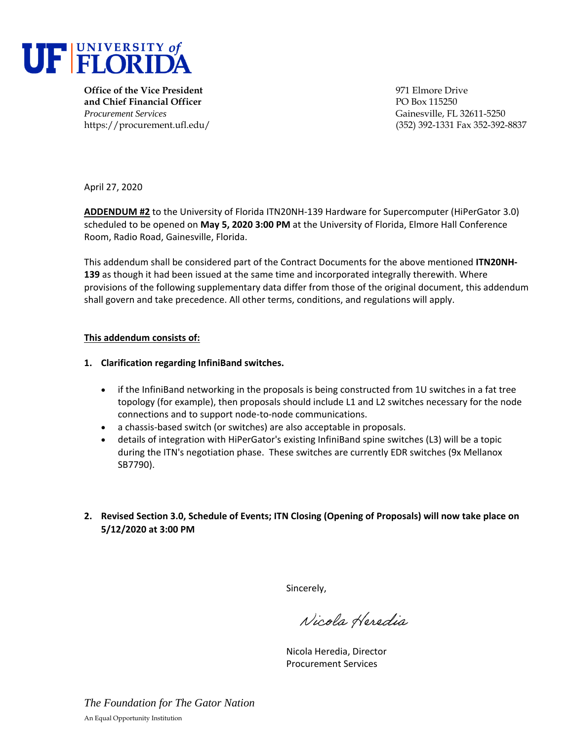

**Office of the Vice President** 1971 Elmore Drive **and Chief Financial Officer** PO Box 115250 *Procurement Services* Gainesville, FL 32611-5250

https://procurement.ufl.edu/ (352) 392-1331 Fax 352-392-8837

April 27, 2020

**ADDENDUM #2** to the University of Florida ITN20NH-139 Hardware for Supercomputer (HiPerGator 3.0) scheduled to be opened on **May 5, 2020 3:00 PM** at the University of Florida, Elmore Hall Conference Room, Radio Road, Gainesville, Florida.

This addendum shall be considered part of the Contract Documents for the above mentioned **ITN20NH-139** as though it had been issued at the same time and incorporated integrally therewith. Where provisions of the following supplementary data differ from those of the original document, this addendum shall govern and take precedence. All other terms, conditions, and regulations will apply.

## **This addendum consists of:**

- **1. Clarification regarding InfiniBand switches.** 
	- if the InfiniBand networking in the proposals is being constructed from 1U switches in a fat tree topology (for example), then proposals should include L1 and L2 switches necessary for the node connections and to support node-to-node communications.
	- a chassis-based switch (or switches) are also acceptable in proposals.
	- details of integration with HiPerGator's existing InfiniBand spine switches (L3) will be a topic during the ITN's negotiation phase. These switches are currently EDR switches (9x Mellanox SB7790).
- **2. Revised Section 3.0, Schedule of Events; ITN Closing (Opening of Proposals) will now take place on 5/12/2020 at 3:00 PM**

Sincerely,

Nicola Heredia

Nicola Heredia, Director Procurement Services

*The Foundation for The Gator Nation* An Equal Opportunity Institution